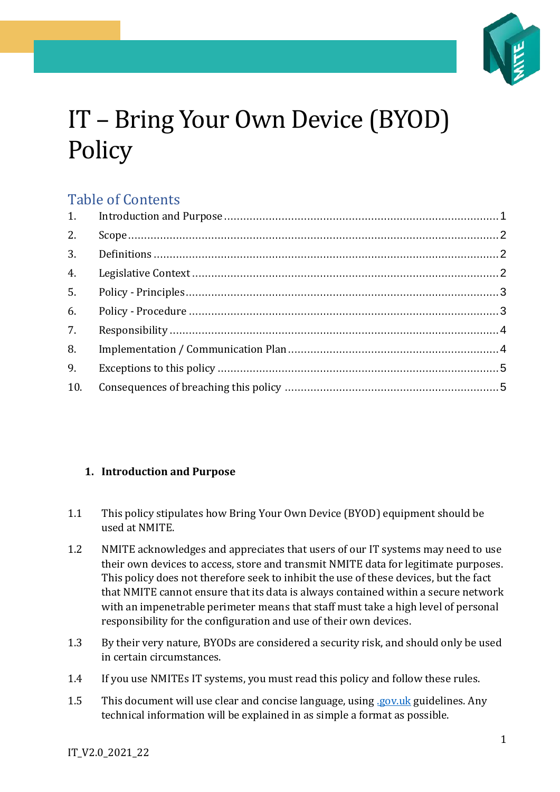

# IT – Bring Your Own Device (BYOD) **Policy**

# Table of Contents

| 2. |  |
|----|--|
|    |  |
| 4. |  |
| 5. |  |
| 6. |  |
| 7. |  |
| 8. |  |
| 9. |  |
|    |  |

### <span id="page-0-0"></span>**1. Introduction and Purpose**

- 1.1 This policy stipulates how Bring Your Own Device (BYOD) equipment should be used at NMITE.
- 1.2 NMITE acknowledges and appreciates that users of our IT systems may need to use their own devices to access, store and transmit NMITE data for legitimate purposes. This policy does not therefore seek to inhibit the use of these devices, but the fact that NMITE cannot ensure that its data is always contained within a secure network with an impenetrable perimeter means that staff must take a high level of personal responsibility for the configuration and use of their own devices.
- 1.3 By their very nature, BYODs are considered a security risk, and should only be used in certain circumstances.
- 1.4 If you use NMITEs IT systems, you must read this policy and follow these rules.
- 1.5 This document will use clear and concise language, using *gov.uk* guidelines. Any technical information will be explained in as simple a format as possible.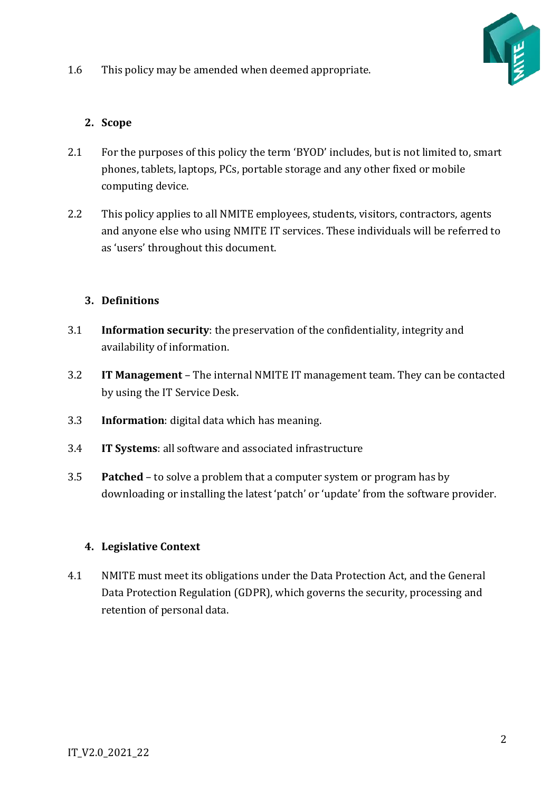1.6 This policy may be amended when deemed appropriate.



## <span id="page-1-0"></span>**2. Scope**

- 2.1 For the purposes of this policy the term 'BYOD' includes, but is not limited to, smart phones, tablets, laptops, PCs, portable storage and any other fixed or mobile computing device.
- 2.2 This policy applies to all NMITE employees, students, visitors, contractors, agents and anyone else who using NMITE IT services. These individuals will be referred to as 'users' throughout this document.

### <span id="page-1-1"></span>**3. Definitions**

- 3.1 **Information security**: the preservation of the confidentiality, integrity and availability of information.
- 3.2 **IT Management** The internal NMITE IT management team. They can be contacted by using the IT Service Desk.
- 3.3 **Information**: digital data which has meaning.
- 3.4 **IT Systems**: all software and associated infrastructure
- 3.5 **Patched** to [solve](https://dictionary.cambridge.org/dictionary/english/solve) a [problem](https://dictionary.cambridge.org/dictionary/english/problem) that a [computer](https://dictionary.cambridge.org/dictionary/english/computer) [system](https://dictionary.cambridge.org/dictionary/english/system) or [program](https://dictionary.cambridge.org/dictionary/english/program) has by downloading or installing the latest 'patch' or 'update' from the software provider.

### <span id="page-1-2"></span>**4. Legislative Context**

4.1 NMITE must meet its obligations under the Data Protection Act, and the General Data Protection Regulation (GDPR), which governs the security, processing and retention of personal data.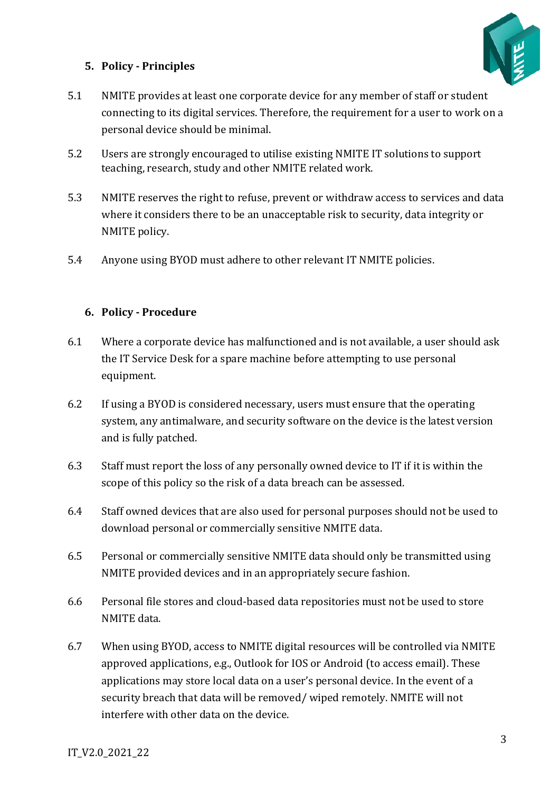

#### <span id="page-2-0"></span>**5. Policy - Principles**

- 5.1 NMITE provides at least one corporate device for any member of staff or student connecting to its digital services. Therefore, the requirement for a user to work on a personal device should be minimal.
- 5.2 Users are strongly encouraged to utilise existing NMITE IT solutions to support teaching, research, study and other NMITE related work.
- 5.3 NMITE reserves the right to refuse, prevent or withdraw access to services and data where it considers there to be an unacceptable risk to security, data integrity or NMITE policy.
- 5.4 Anyone using BYOD must adhere to other relevant IT NMITE policies.

#### <span id="page-2-1"></span>**6. Policy - Procedure**

- 6.1 Where a corporate device has malfunctioned and is not available, a user should ask the IT Service Desk for a spare machine before attempting to use personal equipment.
- 6.2 If using a BYOD is considered necessary, users must ensure that the operating system, any antimalware, and security software on the device is the latest version and is fully patched.
- 6.3 Staff must report the loss of any personally owned device to IT if it is within the scope of this policy so the risk of a data breach can be assessed.
- 6.4 Staff owned devices that are also used for personal purposes should not be used to download personal or commercially sensitive NMITE data.
- 6.5 Personal or commercially sensitive NMITE data should only be transmitted using NMITE provided devices and in an appropriately secure fashion.
- 6.6 Personal file stores and cloud-based data repositories must not be used to store NMITE data.
- 6.7 When using BYOD, access to NMITE digital resources will be controlled via NMITE approved applications, e.g., Outlook for IOS or Android (to access email). These applications may store local data on a user's personal device. In the event of a security breach that data will be removed/ wiped remotely. NMITE will not interfere with other data on the device.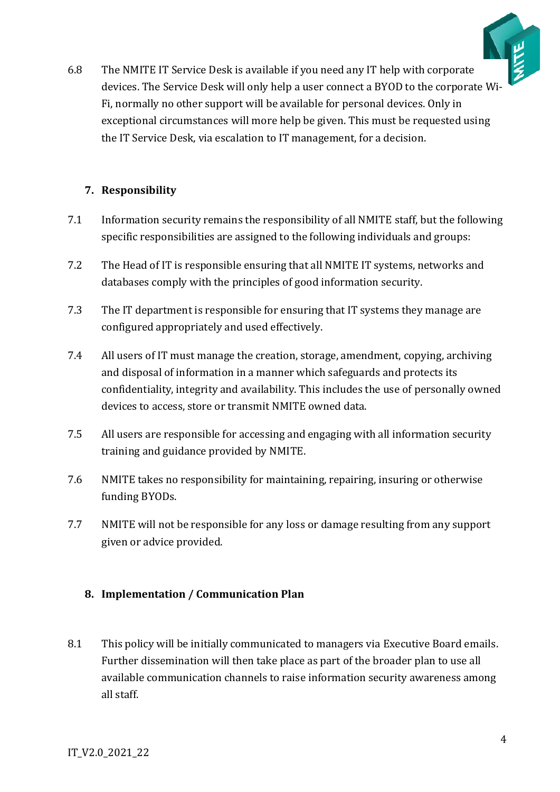

6.8 The NMITE IT Service Desk is available if you need any IT help with corporate devices. The Service Desk will only help a user connect a BYOD to the corporate Wi-Fi, normally no other support will be available for personal devices. Only in exceptional circumstances will more help be given. This must be requested using the IT Service Desk, via escalation to IT management, for a decision.

#### <span id="page-3-0"></span>**7. Responsibility**

- 7.1 Information security remains the responsibility of all NMITE staff, but the following specific responsibilities are assigned to the following individuals and groups:
- 7.2 The Head of IT is responsible ensuring that all NMITE IT systems, networks and databases comply with the principles of good information security.
- 7.3 The IT department is responsible for ensuring that IT systems they manage are configured appropriately and used effectively.
- 7.4 All users of IT must manage the creation, storage, amendment, copying, archiving and disposal of information in a manner which safeguards and protects its confidentiality, integrity and availability. This includes the use of personally owned devices to access, store or transmit NMITE owned data.
- 7.5 All users are responsible for accessing and engaging with all information security training and guidance provided by NMITE.
- 7.6 NMITE takes no responsibility for maintaining, repairing, insuring or otherwise funding BYODs.
- 7.7 NMITE will not be responsible for any loss or damage resulting from any support given or advice provided.

#### <span id="page-3-1"></span>**8. Implementation / Communication Plan**

8.1 This policy will be initially communicated to managers via Executive Board emails. Further dissemination will then take place as part of the broader plan to use all available communication channels to raise information security awareness among all staff.